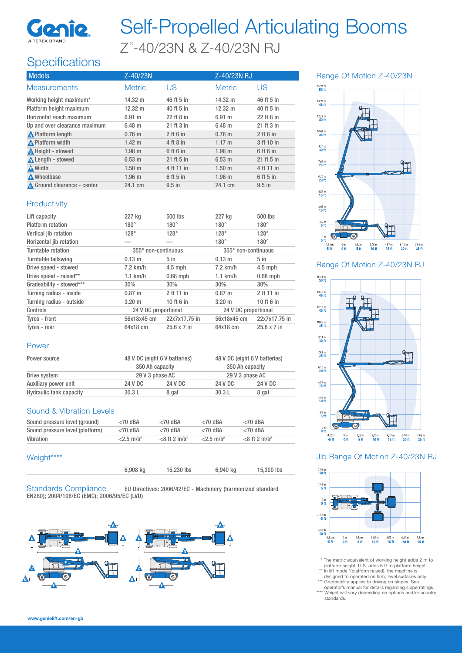

# Self-Propelled Articulating Booms Z°-40/23N & Z-40/23N RJ

# **Specifications**

| <b>Models</b>                      | Z-40/23N          |             | Z-40/23N RJ       |             |
|------------------------------------|-------------------|-------------|-------------------|-------------|
| <b>Measurements</b>                | <b>Metric</b>     | US          | <b>Metric</b>     | US          |
| Working height maximum*            | $14.32 \text{ m}$ | 46 ft 5 in  | $14.32 \text{ m}$ | 46 ft 5 in  |
| Platform height maximum            | $12.32 \text{ m}$ | 40 ft 5 in  | $12.32 \text{ m}$ | 40 ft 5 in  |
| Horizontal reach maximum           | 6.91 m            | 22 ft 8 in  | 6.91 m            | 22 ft 8 in  |
| Up and over clearance maximum      | $6.48$ m          | 21 ft 3 in  | $6.48$ m          | 21 ft 3 in  |
| <b>A</b> Platform length           | $0.76 \; m$       | $2$ ft 6 in | $0.76 \; m$       | $2$ ft 6 in |
| A Platform width                   | $1.42 \text{ m}$  | 4 ft 8 in   | 1.17 m            | 3 ft 10 in  |
| <b>A</b> Height - stowed           | 1.98 m            | 6 ft 6 in   | $1.98$ m          | 6 ft 6 in   |
| Length - stowed                    | $6.53 \text{ m}$  | 21 ft 5 in  | 6.53 m            | 21 ft 5 in  |
| <b>A</b> Width                     | 1.50 <sub>m</sub> | 4 ft 11 in  | 1.50 <sub>m</sub> | 4 ft 11 in  |
| <b>A</b> Wheelbase                 | $1.96$ m          | 6 ft 5 in   | $1.96$ m          | 6 ft 5 in   |
| <b>A</b> Ground clearance - center | 24.1 cm           | $9.5$ in    | 24.1 cm           | $9.5$ in    |

## $\begin{array}{c}\n15.24 \text{ m} \\
\hline\n\textbf{50 ft}\n\end{array}$  $\begin{array}{c}\n13.72 \text{ m} \\
\hline\n45 \text{ ft}\n\end{array}$  $12,19 \text{ m}$ <br>40 ft  $\frac{10,67 \text{ m}}{35 \text{ H}}$  $\frac{9.14 \text{ m}}{30 \text{ ft}}$  $\frac{7,62 \text{ m}}{25 \text{ ft}}$ ₣  $6.10 m$ <br>20 ft  $4.57 m$ <br>15 ft  $3.05 m$ <br>10 ft  $1.52 m$ <br>5 ft

Range Of Motion Z-40/23N

 $\begin{array}{c} 1.52 \text{ m} \\ \textbf{5 ft} \end{array}$  $3.05m$ <br>10 ft  $\frac{6.10 \text{ m}}{20 \text{ ft}}$  $-1.52$  m<br> $-5$  ft  $\frac{0 \text{ m}}{0 \text{ ft}}$  $4.57 m$ <br>15 ft

 $\frac{0 \text{ m}}{0 \text{ ft}}$ 

Range Of Motion Z-40/23N RJ

 $7.62 m$ <br>25 ft



### Jib Range Of Motion Z-40/23N RJ



\* The metric equivalent of working height adds 2 m to

platform height. U.S. adds 6 ft to platform height.<br>\*\* In lift mode \*(platform raised), the machine is<br>designed to operated on firm, level surfaces only.

\*\*\* Gradeability applies to driving on slopes. See operator's manual for details regarding slope ratings. \*\*\*\* Weight will vary depending on options and/or country<br>standards.

### **Productivity**

| Lift capacity            | 227 kg               | 500 lbs            | 227 kg               | 500 lbs       |
|--------------------------|----------------------|--------------------|----------------------|---------------|
| Platform rotation        | $180^\circ$          | $180^\circ$        | $180^\circ$          | $180^\circ$   |
| Vertical jib rotation    | $128^\circ$          | $128^\circ$        | $128^\circ$          | $128^\circ$   |
| Horizontal jib rotation  |                      |                    | $180^\circ$          | $180^\circ$   |
| Turntable rotation       | 355° non-continuous  |                    | 355° non-continuous  |               |
| Turntable tailswing      | $0.13 \; m$          | $5$ in             | $0.13 \; m$          | $5$ in        |
| Drive speed - stowed     | $7.2$ km/h           | $4.5$ mph          | $7.2$ km/h           | $4.5$ mph     |
| Drive speed - raised**   | $1.1$ km/h           | $0.68$ mph         | $1.1$ km/h           | $0.68$ mph    |
| Gradeability - stowed*** | 30%                  | 30%                | 30%                  | 30%           |
| Turning radius - inside  | $0.87 \;{\rm m}$     | 2 ft 11 in         | $0.87 \;{\rm m}$     | 2 ft 11 in    |
| Turning radius - outside | $3.20 \; m$          | 10 ft 6 in         | $3.20 \;{\rm m}$     | 10 ft 6 in    |
| Controls                 | 24 V DC proportional |                    | 24 V DC proportional |               |
| Tyres - front            | 56x18x45 cm          | 22x7x17.75 in      | 56x18x45 cm          | 22x7x17.75 in |
| Tyres - rear             | 64x18 cm             | $25.6 \times 7$ in | 64x18 cm             | 25.6 x 7 in   |

#### Power

| Power source            |         | 48 V DC (eight 6 V batteries)<br>350 Ah capacity |         | 48 V DC (eight 6 V batteries)<br>350 Ah capacity |  |
|-------------------------|---------|--------------------------------------------------|---------|--------------------------------------------------|--|
|                         |         |                                                  |         |                                                  |  |
| Drive system            |         | 29 V 3 phase AC                                  |         | 29 V 3 phase AC                                  |  |
| Auxiliary power unit    | 24 V DC | 24 V DC                                          | 24 V DC | 24 V DC                                          |  |
| Hydraulic tank capacity | 30.3L   | 8 gal                                            | 30.3L   | 8 gal                                            |  |

#### Sound & Vibration Levels

| Sound pressure level (ground)   | $<$ 70 dBA               | $<$ 70 dBA                   | $<$ 70 dBA               | $<$ 70 dBA                   |
|---------------------------------|--------------------------|------------------------------|--------------------------|------------------------------|
| Sound pressure level (platform) | $<$ 70 dBA               | $<$ 70 dBA                   | $<$ 70 dBA               | $<$ 70 dBA                   |
| Vibration                       | $< 2.5$ m/s <sup>2</sup> | $<$ 8 ft 2 in/s <sup>2</sup> | $< 2.5$ m/s <sup>2</sup> | $<$ 8 ft 2 in/s <sup>2</sup> |

#### Weight\*\*\*\*

| 6,908 kg | 15,230 lbs | 6,940 kg | 15,300 lbs |
|----------|------------|----------|------------|
|          |            |          |            |

Standards Compliance EU Directives: 2006/42/EC - Machinery (harmonized standard EN280); 2004/108/EC (EMC); 2006/95/EC (LVD)